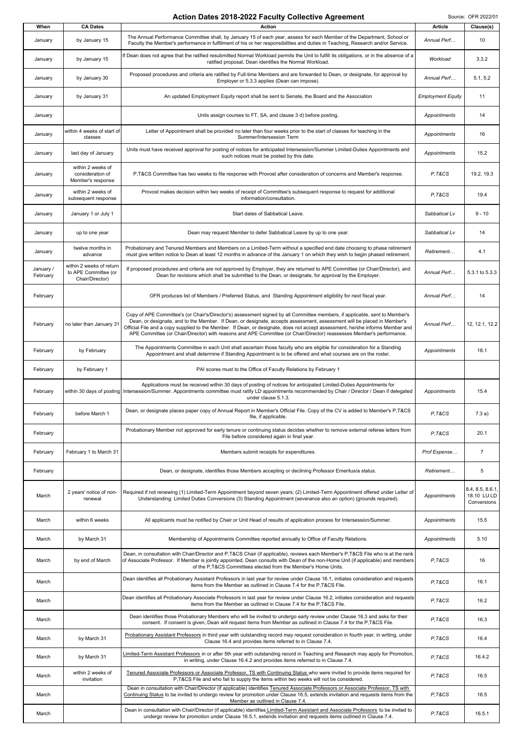## Action Dates 2018-2022 Faculty Collective Agreement Source: OFR 2022/01

| When                  | <b>CA Dates</b>                                                     | <b>Action</b>                                                                                                                                                                                                                                                                                                                                                                                                                                                                                                    | <b>Article</b>           | Clause(s)                                     |
|-----------------------|---------------------------------------------------------------------|------------------------------------------------------------------------------------------------------------------------------------------------------------------------------------------------------------------------------------------------------------------------------------------------------------------------------------------------------------------------------------------------------------------------------------------------------------------------------------------------------------------|--------------------------|-----------------------------------------------|
| January               | by January 15                                                       | The Annual Performance Committee shall, by January 15 of each year, assess for each Member of the Department, School or<br>Faculty the Member's performance in fulfillment of his or her responsibilities and duties in Teaching, Research and/or Service.                                                                                                                                                                                                                                                       | Annual Perf              | 10                                            |
| January               | by January 15                                                       | If Dean does not agree that the ratified resubmitted Normal Workload permits the Unit to fulfill its obligations, or in the absence of a<br>ratified proposal, Dean identifies the Normal Workload.                                                                                                                                                                                                                                                                                                              | Workload                 | 3.3.2                                         |
| January               | by January 30                                                       | Proposed procedures and criteria are ratified by Full-time Members and are forwarded to Dean, or designate, for approval by<br>Employer or 5.3.3 applies (Dean can impose).                                                                                                                                                                                                                                                                                                                                      | Annual Perf              | 5.1, 5.2                                      |
| January               | by January 31                                                       | An updated Employment Equity report shall be sent to Senate, the Board and the Association                                                                                                                                                                                                                                                                                                                                                                                                                       | <b>Employment Equity</b> | 11                                            |
| January               |                                                                     | Units assign courses to FT, SA, and clause 3 d) before posting.                                                                                                                                                                                                                                                                                                                                                                                                                                                  | Appointments             | 14                                            |
| January               | within 4 weeks of start of<br>classes                               | Letter of Appointment shall be provided no later than four weeks prior to the start of classes for teaching in the<br>Summer/Intersession Term                                                                                                                                                                                                                                                                                                                                                                   | Appointments             | 16                                            |
| January               | last day of January                                                 | Units must have received approval for posting of notices for anticipated Intersession/Summer Limited-Duties Appointments and<br>such notices must be posted by this date.                                                                                                                                                                                                                                                                                                                                        | Appointments             | 15.2                                          |
| January               | within 2 weeks of<br>consideration of<br>Member's response          | P,T&CS Committee has two weeks to file response with Provost after consideration of concerns and Member's response.                                                                                                                                                                                                                                                                                                                                                                                              | P.T&CS                   | 19.2, 19.3                                    |
| January               | within 2 weeks of<br>subsequent response                            | Provost makes decision within two weeks of receipt of Committee's subsequent response to request for additional<br>information/consultation.                                                                                                                                                                                                                                                                                                                                                                     | P.T&CS                   | 19.4                                          |
| January               | January 1 or July 1                                                 | Start dates of Sabbatical Leave.                                                                                                                                                                                                                                                                                                                                                                                                                                                                                 | Sabbatical Lv            | $9 - 10$                                      |
| January               | up to one year                                                      | Dean may request Member to defer Sabbatical Leave by up to one year.                                                                                                                                                                                                                                                                                                                                                                                                                                             | Sabbatical Lv            | 14                                            |
| January               | twelve months in<br>advance                                         | Probationary and Tenured Members and Members on a Limited-Term without a specified end date choosing to phase retirement<br>must give written notice to Dean at least 12 months in advance of the January 1 on which they wish to begin phased retirement.                                                                                                                                                                                                                                                       | Retirement               | 4.1                                           |
| January /<br>February | within 2 weeks of return<br>to APE Committee (or<br>Chair/Director) | If proposed procedures and criteria are not approved by Employer, they are returned to APE Committee (or Chair/Director), and<br>Dean for revisions which shall be submitted to the Dean, or designate, for approval by the Employer.                                                                                                                                                                                                                                                                            | Annual Perf              | 5.3.1 to 5.3.3                                |
| February              |                                                                     | OFR produces list of Members / Preferred Status, and Standing Appointment eligibility for next fiscal year.                                                                                                                                                                                                                                                                                                                                                                                                      | Annual Perf              | 14                                            |
| February              | no later than January 31                                            | Copy of APE Committee's (or Chair's/Director's) assessment signed by all Committee members, if applicable, sent to Member's<br>Dean, or designate, and to the Member. If Dean, or designate, accepts assessment, assessment will be placed in Member's<br>Official File and a copy supplied to the Member. If Dean, or designate, does not accept assessment, he/she informs Member and<br>APE Committee (or Chair/Director) with reasons and APE Committee (or Chair/Director) reassesses Member's performance. | Annual Perf              | 12, 12.1, 12.2                                |
| February              | by February                                                         | The Appointments Committee in each Unit shall ascertain those faculty who are eligible for consideration for a Standing<br>Appointment and shall determine if Standing Appointment is to be offered and what courses are on the roster.                                                                                                                                                                                                                                                                          | Appointments             | 18.1                                          |
| February              | by February 1                                                       | PAI scores must to the Office of Faculty Relations by February 1                                                                                                                                                                                                                                                                                                                                                                                                                                                 |                          |                                               |
| February              |                                                                     | Applications must be received within 30 days of posting of notices for anticipated Limited-Duties Appointments for<br>within 30 days of posting   Intersession/Summer. Appointments committee must ratify LD appointments recommended by Chair / Director / Dean if delegated<br>under clause 5.1.3.                                                                                                                                                                                                             | Appointments             | 15.4                                          |
| February              | before March 1                                                      | Dean, or designate places paper copy of Annual Report in Member's Official File. Copy of the CV is added to Member's P,T&CS<br>file, if applicable.                                                                                                                                                                                                                                                                                                                                                              | P.T&CS                   | 7.3a)                                         |
| February              |                                                                     | Probationary Member not approved for early tenure or continuing status decides whether to remove external referee letters from<br>File before considered again in final year.                                                                                                                                                                                                                                                                                                                                    | P.T&CS                   | 20.1                                          |
| February              | February 1 to March 31                                              | Members submit receipts for expenditures.                                                                                                                                                                                                                                                                                                                                                                                                                                                                        | Prof Expense             | $\overline{7}$                                |
| February              |                                                                     | Dean, or designate, identifies those Members accepting or declining Professor Emeritus/a status.                                                                                                                                                                                                                                                                                                                                                                                                                 | Retirement               | 5                                             |
| March                 | 2 years' notice of non-<br>renewal                                  | Required if not renewing (1) Limited-Term Appointment beyond seven years; (2) Limited-Term Appointment offered under Letter of<br>Understanding: Limited Duties Conversions (3) Standing Appointment (severance also an option) (grounds required).                                                                                                                                                                                                                                                              | Appointments             | 8.4, 8.5, 8.6.1<br>18.10 LU LD<br>Conversions |
| March                 | within 6 weeks                                                      | All applicants must be notified by Chair or Unit Head of results of application process for Intersession/Summer.                                                                                                                                                                                                                                                                                                                                                                                                 | Appointments             | 15.5                                          |
| March                 | by March 31                                                         | Membership of Appointments Committee reported annually to Office of Faculty Relations.                                                                                                                                                                                                                                                                                                                                                                                                                           | Appointments             | 5.10                                          |
| March                 | by end of March                                                     | Dean, in consultation with Chair/Director and P,T&CS Chair (if applicable), reviews each Member's P,T&CS File who is at the rank<br>of Associate Professor. If Member is jointly appointed, Dean consults with Dean of the non-Home Unit (if applicable) and members<br>of the P.T&CS Committees elected from the Member's Home Units.                                                                                                                                                                           | P.T&CS                   | 16                                            |
| March                 |                                                                     | Dean identifies all Probationary Assistant Professors in last year for review under Clause 16.1, initiates consideration and requests<br>items from the Member as outlined in Clause 7.4 for the P, T&CS File.                                                                                                                                                                                                                                                                                                   | P,T&CS                   | 16.1                                          |
| March                 |                                                                     | Dean identifies all Probationary Associate Professors in last year for review under Clause 16.2, initiates consideration and requests<br>items from the Member as outlined in Clause 7.4 for the P, T&CS File.                                                                                                                                                                                                                                                                                                   | P,T&CS                   | 16.2                                          |
| March                 |                                                                     | Dean identifies those Probationary Members who will be invited to undergo early review under Clause 16.3 and asks for their<br>consent. If consent is given, Dean will request items from Member as outlined in Clause 7.4 for the P,T&CS File.                                                                                                                                                                                                                                                                  | P,T&CS                   | 16.3                                          |
| March                 | by March 31                                                         | Probationary Assistant Professors in third year with outstanding record may request consideration in fourth year, in writing, under<br>Clause 16.4 and provides items referred to in Clause 7.4.                                                                                                                                                                                                                                                                                                                 | P,T&CS                   | 16.4                                          |
| March                 | by March 31                                                         | Limited-Term Assistant Professors in or after 5th year with outstanding record in Teaching and Research may apply for Promotion,<br>in writing, under Clause 16.4.2 and provides items referred to in Clause 7.4.                                                                                                                                                                                                                                                                                                | P,T&CS                   | 16.4.2                                        |
| March                 | within 2 weeks of<br>invitation                                     | Tenured Associate Professors or Associate Professor, TS with Continuing Status who were invited to provide items required for<br>P,T&CS File and who fail to supply the items within two weeks will not be considered.                                                                                                                                                                                                                                                                                           | P.T&CS                   | 16.5                                          |
| March                 |                                                                     | Dean in consultation with Chair/Director (if applicable) identifies Tenured Associate Professors or Associate Professor, TS with<br>Continuing Status to be invited to undergo review for promotion under Clause 16.5, extends invitation and requests items from the<br>Member as outlined in Clause 7.4.                                                                                                                                                                                                       | P,T&CS                   | 16.5                                          |
| March                 |                                                                     | Dean in consultation with Chair/Director (if applicable) identifies Limited-Term Assistant and Associate Professors to be invited to<br>undergo review for promotion under Clause 16.5.1, extends invitation and requests items outlined in Clause 7.4.                                                                                                                                                                                                                                                          | P.T&CS                   | 16.5.1                                        |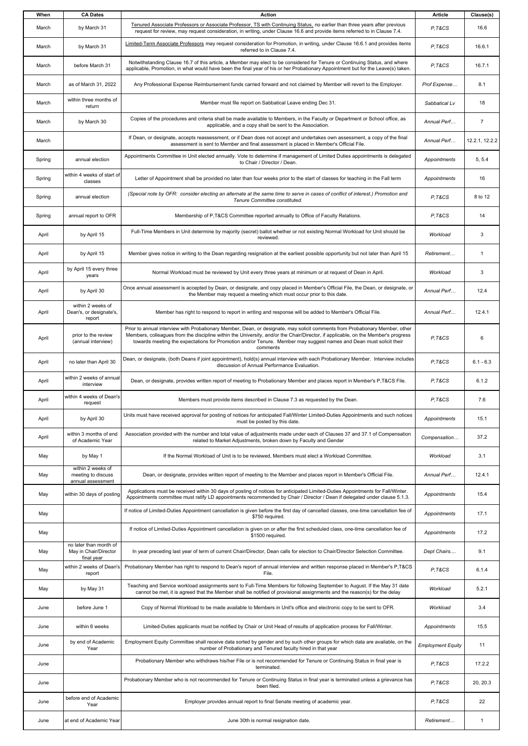| When   | <b>CA Dates</b>                                               | <b>Action</b>                                                                                                                                                                                                                                                                                                                                                                                       | <b>Article</b>           | Clause(s)      |
|--------|---------------------------------------------------------------|-----------------------------------------------------------------------------------------------------------------------------------------------------------------------------------------------------------------------------------------------------------------------------------------------------------------------------------------------------------------------------------------------------|--------------------------|----------------|
| March  | by March 31                                                   | Tenured Associate Professors or Associate Professor, TS with Continuing Status, no earlier than three years after previous<br>request for review, may request consideration, in writing, under Clause 16.6 and provide items referred to in Clause 7.4.                                                                                                                                             | P.T&CS                   | 16.6           |
| March  | by March 31                                                   | Limited-Term Associate Professors may request consideration for Promotion, in writing, under Clause 16.6.1 and provides items<br>referred to in Clause 7.4.                                                                                                                                                                                                                                         | P.T&CS                   | 16.6.1         |
| March  | before March 31                                               | Notwithstanding Clause 16.7 of this article, a Member may elect to be considered for Tenure or Continuing Status, and where<br>applicable, Promotion, in what would have been the final year of his or her Probationary Appointment but for the Leave(s) taken.                                                                                                                                     | P.T&CS                   | 16.7.1         |
| March  | as of March 31, 2022                                          | Any Professional Expense Reimbursement funds carried forward and not claimed by Member will revert to the Employer.                                                                                                                                                                                                                                                                                 | Prof Expense             | 8.1            |
| March  | within three months of<br>return                              | Member must file report on Sabbatical Leave ending Dec 31.                                                                                                                                                                                                                                                                                                                                          | Sabbatical Lv            | 18             |
| March  | by March 30                                                   | Copies of the procedures and criteria shall be made available to Members, in the Faculty or Department or School office, as<br>applicable, and a copy shall be sent to the Association.                                                                                                                                                                                                             | Annual Perf              | $\overline{7}$ |
| March  |                                                               | If Dean, or designate, accepts reassessment, or if Dean does not accept and undertakes own assessment, a copy of the final<br>assessment is sent to Member and final assessment is placed in Member's Official File.                                                                                                                                                                                | Annual Perf              | 12.2.1. 12.2.2 |
| Spring | annual election                                               | Appointments Committee in Unit elected annually. Vote to determine if management of Limited Duties appointments is delegated<br>to Chair / Director / Dean.                                                                                                                                                                                                                                         | Appointments             | 5, 5.4         |
| Spring | within 4 weeks of start of<br>classes                         | Letter of Appointment shall be provided no later than four weeks prior to the start of classes for teaching in the Fall term                                                                                                                                                                                                                                                                        | Appointments             | 16             |
| Spring | annual election                                               | (Special note by OFR: consider electing an alternate at the same time to serve in cases of conflict of interest.) Promotion and<br>Tenure Committee constituted.                                                                                                                                                                                                                                    | P.T&CS                   | 8 to 12        |
| Spring | annual report to OFR                                          | Membership of P.T&CS Committee reported annually to Office of Faculty Relations.                                                                                                                                                                                                                                                                                                                    | P.T&CS                   | 14             |
| April  | by April 15                                                   | Full-Time Members in Unit determine by majority (secret) ballot whether or not existing Normal Workload for Unit should be<br>reviewed.                                                                                                                                                                                                                                                             | Workload                 | 3              |
| April  | by April 15                                                   | Member gives notice in writing to the Dean regarding resignation at the earliest possible opportunity but not later than April 15                                                                                                                                                                                                                                                                   | Retirement               | $\overline{1}$ |
| April  | by April 15 every three<br>years                              | Normal Workload must be reviewed by Unit every three years at minimum or at request of Dean in April.                                                                                                                                                                                                                                                                                               | Workload                 | 3              |
| April  | by April 30                                                   | Once annual assessment is accepted by Dean, or designate, and copy placed in Member's Official File, the Dean, or designate, or<br>the Member may request a meeting which must occur prior to this date.                                                                                                                                                                                            | Annual Perf              | 12.4           |
| April  | within 2 weeks of<br>Dean's, or designate's,<br>report        | Member has right to respond to report in writing and response will be added to Member's Official File.                                                                                                                                                                                                                                                                                              | Annual Perf              | 12.4.1         |
| April  | prior to the review<br>(annual interview)                     | Prior to annual interview with Probationary Member, Dean, or designate, may solicit comments from Probationary Member, other<br>Members, colleagues from the discipline within the University, and/or the Chair/Director, if applicable, on the Member's progress<br>towards meeting the expectations for Promotion and/or Tenure. Member may suggest names and Dean must solicit their<br>comments | P,T&CS                   | 6              |
| April  | no later than April 30                                        | Dean, or designate, (both Deans if joint appointment), hold(s) annual interview with each Probationary Member. Interview includes<br>discussion of Annual Performance Evaluation.                                                                                                                                                                                                                   | P.T&CS                   | $6.1 - 6.3$    |
| April  | within 2 weeks of annual<br>interview                         | Dean, or designate, provides written report of meeting to Probationary Member and places report in Member's P,T&CS File.                                                                                                                                                                                                                                                                            | P.T&CS                   | 6.1.2          |
| April  | within 4 weeks of Dean's<br>request                           | Members must provide items described in Clause 7.3 as requested by the Dean.                                                                                                                                                                                                                                                                                                                        | P.T&CS                   | 7.6            |
| April  | by April 30                                                   | Units must have received approval for posting of notices for anticipated Fall/Winter Limited-Duties Appointments and such notices<br>must be posted by this date.                                                                                                                                                                                                                                   | Appointments             | 15.1           |
| April  | within 3 months of end<br>of Academic Year                    | Association provided with the number and total value of adjustments made under each of Clauses 37 and 37.1 of Compensation<br>related to Market Adjustments, broken down by Faculty and Gender                                                                                                                                                                                                      | Compensation             | 37.2           |
| May    | by May 1                                                      | If the Normal Workload of Unit is to be reviewed, Members must elect a Workload Committee.                                                                                                                                                                                                                                                                                                          | Workload                 | 3.1            |
| May    | within 2 weeks of<br>meeting to discuss<br>annual assessment  | Dean, or designate, provides written report of meeting to the Member and places report in Member's Official File.                                                                                                                                                                                                                                                                                   | Annual Perf              | 12.4.1         |
| May    | within 30 days of posting                                     | Applications must be received within 30 days of posting of notices for anticipated Limited-Duties Appointments for Fall/Winter.<br>Appointments committee must ratify LD appointments recommended by Chair / Director / Dean if delegated under clause 5.1.3.                                                                                                                                       | Appointments             | 15.4           |
| May    |                                                               | If notice of Limited-Duties Appointment cancellation is given before the first day of cancelled classes, one-time cancellation fee of<br>\$750 required.                                                                                                                                                                                                                                            | Appointments             | 17.1           |
| May    |                                                               | If notice of Limited-Duties Appointment cancellation is given on or after the first scheduled class, one-time cancellation fee of<br>\$1500 required.                                                                                                                                                                                                                                               | Appointments             | 17.2           |
| May    | no later than month of<br>May in Chair/Director<br>final year | In year preceding last year of term of current Chair/Director, Dean calls for election to Chair/Director Selection Committee.                                                                                                                                                                                                                                                                       | Dept Chairs              | 9.1            |
| May    | report                                                        | within 2 weeks of Dean's Probationary Member has right to respond to Dean's report of annual interview and written response placed in Member's P,T&CS<br>File.                                                                                                                                                                                                                                      | P.T&CS                   | 6.1.4          |
| May    | by May 31                                                     | Teaching and Service workload assignments sent to Full-Time Members for following September to August. If the May 31 date<br>cannot be met, it is agreed that the Member shall be notified of provisional assignments and the reason(s) for the delay                                                                                                                                               | Workload                 | 5.2.1          |
| June   | before June 1                                                 | Copy of Normal Workload to be made available to Members in Unit's office and electronic copy to be sent to OFR.                                                                                                                                                                                                                                                                                     | Workload                 | 3.4            |
| June   | within 6 weeks                                                | Limited-Duties applicants must be notified by Chair or Unit Head of results of application process for Fall/Winter.                                                                                                                                                                                                                                                                                 | Appointments             | 15.5           |
| June   | by end of Academic<br>Year                                    | Employment Equity Committee shall receive data sorted by gender and by such other groups for which data are available, on the<br>number of Probationary and Tenured faculty hired in that year                                                                                                                                                                                                      | <b>Employment Equity</b> | 11             |
| June   |                                                               | Probationary Member who withdraws his/her File or is not recommended for Tenure or Continuing Status in final year is<br>terminated.                                                                                                                                                                                                                                                                | P.T&CS                   | 17.2.2         |
| June   |                                                               | Probationary Member who is not recommended for Tenure or Continuing Status in final year is terminated unless a grievance has<br>been filed.                                                                                                                                                                                                                                                        | P.T&CS                   | 20, 20.3       |
| June   | before end of Academic<br>Year                                | Employer provides annual report to final Senate meeting of academic year.                                                                                                                                                                                                                                                                                                                           | P.T&CS                   | 22             |
| June   | at end of Academic Year                                       | June 30th is normal resignation date.                                                                                                                                                                                                                                                                                                                                                               | Retirement               | -1             |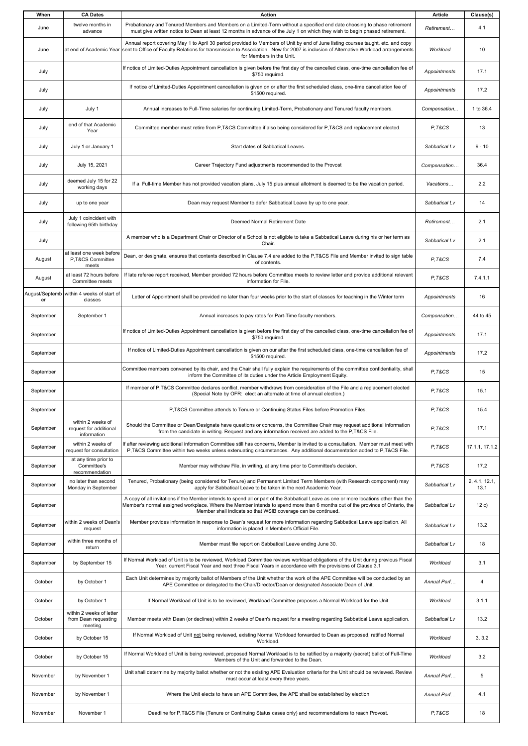| When      | <b>CA Dates</b>                                             | <b>Action</b>                                                                                                                                                                                                                                                                                                                         | <b>Article</b> | Clause(s)             |
|-----------|-------------------------------------------------------------|---------------------------------------------------------------------------------------------------------------------------------------------------------------------------------------------------------------------------------------------------------------------------------------------------------------------------------------|----------------|-----------------------|
| June      | twelve months in<br>advance                                 | Probationary and Tenured Members and Members on a Limited-Term without a specified end date choosing to phase retirement<br>must give written notice to Dean at least 12 months in advance of the July 1 on which they wish to begin phased retirement.                                                                               | Retirement     | 4.1                   |
| June      |                                                             | Annual report covering May 1 to April 30 period provided to Members of Unit by end of June listing courses taught, etc. and copy<br>at end of Academic Year sent to Office of Faculty Relations for transmission to Association. New for 2007 is inclusion of Alternative Workload arrangements<br>for Members in the Unit.           | Workload       | 10                    |
| July      |                                                             | If notice of Limited-Duties Appointment cancellation is given before the first day of the cancelled class, one-time cancellation fee of<br>\$750 required.                                                                                                                                                                            | Appointments   | 17.1                  |
| July      |                                                             | If notice of Limited-Duties Appointment cancellation is given on or after the first scheduled class, one-time cancellation fee of<br>\$1500 required.                                                                                                                                                                                 | Appointments   | 17.2                  |
| July      | July 1                                                      | Annual increases to Full-Time salaries for continuing Limited-Term, Probationary and Tenured faculty members.                                                                                                                                                                                                                         | Compensation   | 1 to 36.4             |
| July      | end of that Academic<br>Year                                | Committee member must retire from P,T&CS Committee if also being considered for P,T&CS and replacement elected.                                                                                                                                                                                                                       | P.T&CS         | 13                    |
| July      | July 1 or January 1                                         | Start dates of Sabbatical Leaves.                                                                                                                                                                                                                                                                                                     | Sabbatical Lv  | $9 - 10$              |
| July      | July 15, 2021                                               | Career Trajectory Fund adjustments recommended to the Provost                                                                                                                                                                                                                                                                         | Compensation   | 36.4                  |
| July      | deemed July 15 for 22<br>working days                       | If a Full-time Member has not provided vacation plans, July 15 plus annual allotment is deemed to be the vacation period.                                                                                                                                                                                                             | Vacations      | 2.2                   |
| July      | up to one year                                              | Dean may request Member to defer Sabbatical Leave by up to one year.                                                                                                                                                                                                                                                                  | Sabbatical Lv  | 14                    |
| July      | July 1 coincident with<br>following 65th birthday           | Deemed Normal Retirement Date                                                                                                                                                                                                                                                                                                         | Retirement     | 2.1                   |
| July      |                                                             | A member who is a Department Chair or Director of a School is not eligible to take a Sabbatical Leave during his or her term as<br>Chair.                                                                                                                                                                                             | Sabbatical Lv  | 2.1                   |
| August    | at least one week before<br>P,T&CS Committee<br>meets       | Dean, or designate, ensures that contents described in Clause 7.4 are added to the P,T&CS File and Member invited to sign table<br>of contents.                                                                                                                                                                                       | P.T&CS         | 7.4                   |
| August    | at least 72 hours before<br>Committee meets                 | If late referee report received, Member provided 72 hours before Committee meets to review letter and provide additional relevant<br>information for File.                                                                                                                                                                            | P.T&CS         | 7.4.1.1               |
| er        | August/Septemb within 4 weeks of start of<br>classes        | Letter of Appointment shall be provided no later than four weeks prior to the start of classes for teaching in the Winter term                                                                                                                                                                                                        | Appointments   | 16                    |
| September | September 1                                                 | Annual increases to pay rates for Part-Time faculty members.                                                                                                                                                                                                                                                                          | Compensation   | 44 to 45              |
| September |                                                             | If notice of Limited-Duties Appointment cancellation is given before the first day of the cancelled class, one-time cancellation fee of<br>\$750 required.                                                                                                                                                                            | Appointments   | 17.1                  |
| September |                                                             | If notice of Limited-Duties Appointment cancellation is given on our after the first scheduled class, one-time cancellation fee of<br>\$1500 required.                                                                                                                                                                                | Appointments   | 17.2                  |
| September |                                                             | Committee members convened by its chair, and the Chair shall fully explain the requirements of the committee confidentiality, shall<br>inform the Committee of its duties under the Article Employment Equity.                                                                                                                        | P.T&CS         | 15                    |
| September |                                                             | If member of P,T&CS Committee declares conflict, member withdraws from consideration of the File and a replacement elected<br>(Special Note by OFR: elect an alternate at time of annual election.)                                                                                                                                   | P.T&CS         | 15.1                  |
| September |                                                             | P, T&CS Committee attends to Tenure or Continuing Status Files before Promotion Files.                                                                                                                                                                                                                                                | P.T&CS         | 15.4                  |
| September | within 2 weeks of<br>request for additional<br>information  | Should the Committee or Dean/Designate have questions or concerns, the Committee Chair may request additional information<br>from the candidate in writing. Request and any information received are added to the P,T&CS File.                                                                                                        | P.T&CS         | 17.1                  |
| September | within 2 weeks of<br>request for consultation               | If after reviewing additional information Committee still has concerns, Member is invited to a consultation. Member must meet with<br>P,T&CS Committee within two weeks unless extenuating circumstances. Any additional documentation added to P,T&CS File.                                                                          | P.T&CS         | 17.1.1, 17.1.2        |
| September | at any time prior to<br>Committee's<br>recommendation       | Member may withdraw File, in writing, at any time prior to Committee's decision.                                                                                                                                                                                                                                                      | P.T&CS         | 17.2                  |
| September | no later than second<br>Monday in September                 | Tenured, Probationary (being considered for Tenure) and Permanent Limited Term Members (with Research component) may<br>apply for Sabbatical Leave to be taken in the next Academic Year.                                                                                                                                             | Sabbatical Lv  | 2, 4.1, 12.1,<br>13.1 |
| September |                                                             | A copy of all invitations if the Member intends to spend all or part of the Sabbatical Leave as one or more locations other than the<br>Member's normal assigned workplace. Where the Member intends to spend more than 6 months out of the province of Ontario, the<br>Member shall indicate so that WSIB coverage can be continued. | Sabbatical Lv  | 12c)                  |
| September | within 2 weeks of Dean's<br>request                         | Member provides information in response to Dean's request for more information regarding Sabbatical Leave application. All<br>information is placed in Member's Official File.                                                                                                                                                        | Sabbatical Lv  | 13.2                  |
| September | within three months of<br>return                            | Member must file report on Sabbatical Leave ending June 30.                                                                                                                                                                                                                                                                           | Sabbatical Lv  | 18                    |
| September | by September 15                                             | If Normal Workload of Unit is to be reviewed, Workload Committee reviews workload obligations of the Unit during previous Fiscal<br>Year, current Fiscal Year and next three Fiscal Years in accordance with the provisions of Clause 3.1                                                                                             | Workload       | 3.1                   |
| October   | by October 1                                                | Each Unit determines by majority ballot of Members of the Unit whether the work of the APE Committee will be conducted by an<br>APE Committee or delegated to the Chair/Director/Dean or designated Associate Dean of Unit.                                                                                                           | Annual Perf    | 4                     |
| October   | by October 1                                                | If Normal Workload of Unit is to be reviewed, Workload Committee proposes a Normal Workload for the Unit                                                                                                                                                                                                                              | Workload       | 3.1.1                 |
| October   | within 2 weeks of letter<br>from Dean requesting<br>meeting | Member meets with Dean (or declines) within 2 weeks of Dean's request for a meeting regarding Sabbatical Leave application.                                                                                                                                                                                                           | Sabbatical Lv  | 13.2                  |
| October   | by October 15                                               | If Normal Workload of Unit not being reviewed, existing Normal Workload forwarded to Dean as proposed, ratified Normal<br>Workload.                                                                                                                                                                                                   | Workload       | 3, 3.2                |
| October   | by October 15                                               | If Normal Workload of Unit is being reviewed, proposed Normal Workload is to be ratified by a majority (secret) ballot of Full-Time<br>Members of the Unit and forwarded to the Dean.                                                                                                                                                 | Workload       | 3.2                   |
| November  | by November 1                                               | Unit shall determine by majority ballot whether or not the existing APE Evaluation criteria for the Unit should be reviewed. Review<br>must occur at least every three years.                                                                                                                                                         | Annual Perf    | 5                     |
| November  | by November 1                                               | Where the Unit elects to have an APE Committee, the APE shall be established by election                                                                                                                                                                                                                                              | Annual Perf    | 4.1                   |
| November  | November 1                                                  | Deadline for P,T&CS File (Tenure or Continuing Status cases only) and recommendations to reach Provost.                                                                                                                                                                                                                               | P.T&CS         | 18                    |